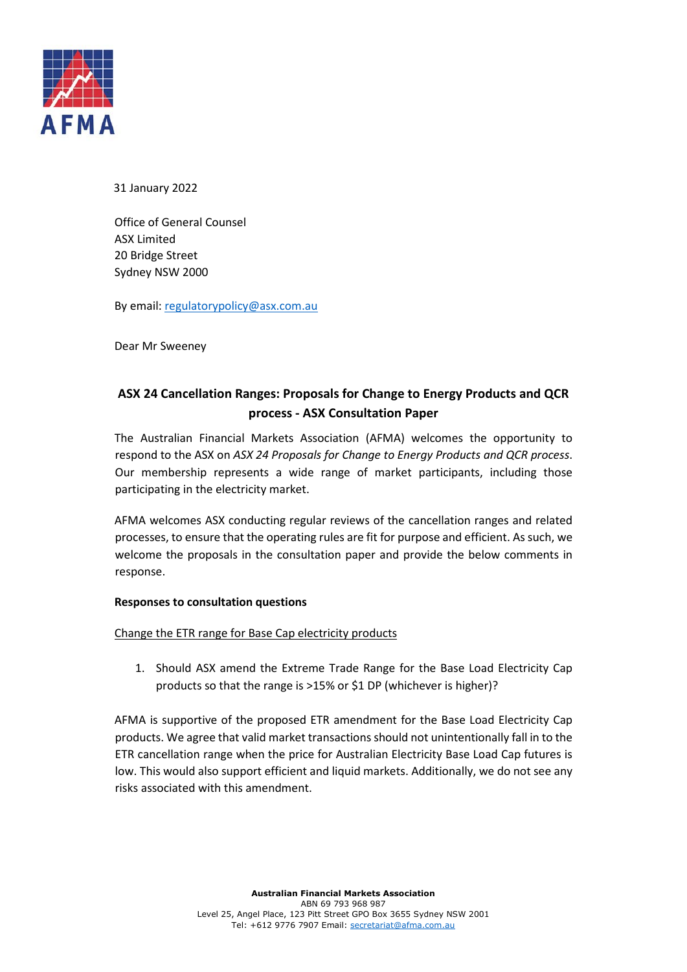

31 January 2022

Office of General Counsel ASX Limited 20 Bridge Street Sydney NSW 2000

By email[: regulatorypolicy@asx.com.au](mailto:regulatorypolicy@asx.com.au)

Dear Mr Sweeney

## **ASX 24 Cancellation Ranges: Proposals for Change to Energy Products and QCR process - ASX Consultation Paper**

The Australian Financial Markets Association (AFMA) welcomes the opportunity to respond to the ASX on *ASX 24 Proposals for Change to Energy Products and QCR process*. Our membership represents a wide range of market participants, including those participating in the electricity market.

AFMA welcomes ASX conducting regular reviews of the cancellation ranges and related processes, to ensure that the operating rules are fit for purpose and efficient. As such, we welcome the proposals in the consultation paper and provide the below comments in response.

## **Responses to consultation questions**

Change the ETR range for Base Cap electricity products

1. Should ASX amend the Extreme Trade Range for the Base Load Electricity Cap products so that the range is >15% or \$1 DP (whichever is higher)?

AFMA is supportive of the proposed ETR amendment for the Base Load Electricity Cap products. We agree that valid market transactions should not unintentionally fall in to the ETR cancellation range when the price for Australian Electricity Base Load Cap futures is low. This would also support efficient and liquid markets. Additionally, we do not see any risks associated with this amendment.